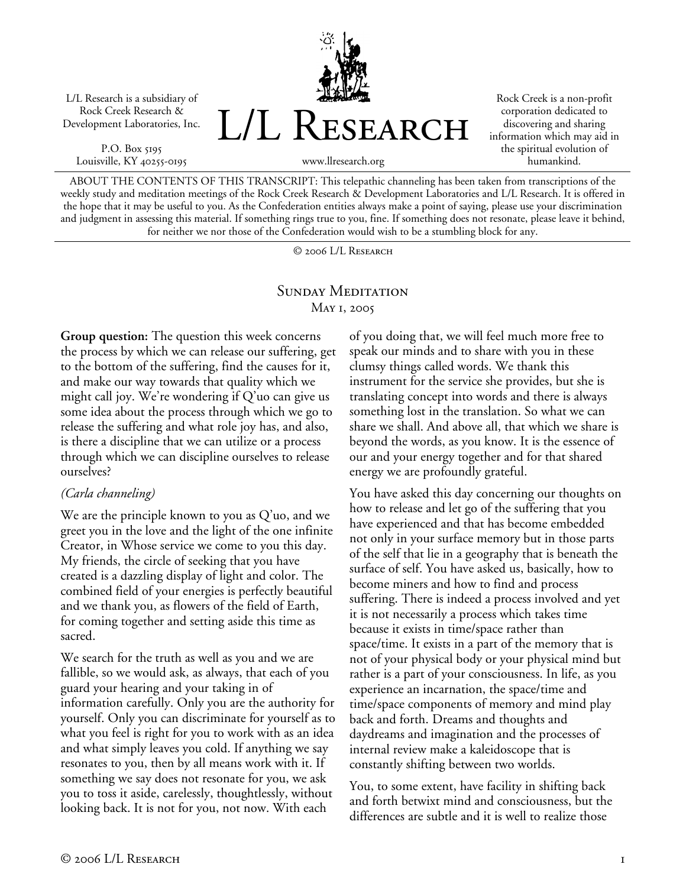L/L Research is a subsidiary of Rock Creek Research & Development Laboratories, Inc.

P.O. Box 5195 Louisville, KY 40255-0195



Rock Creek is a non-profit corporation dedicated to discovering and sharing information which may aid in the spiritual evolution of humankind.

www.llresearch.org

ABOUT THE CONTENTS OF THIS TRANSCRIPT: This telepathic channeling has been taken from transcriptions of the weekly study and meditation meetings of the Rock Creek Research & Development Laboratories and L/L Research. It is offered in the hope that it may be useful to you. As the Confederation entities always make a point of saying, please use your discrimination and judgment in assessing this material. If something rings true to you, fine. If something does not resonate, please leave it behind, for neither we nor those of the Confederation would wish to be a stumbling block for any.

© 2006 L/L Research

# SUNDAY MEDITATION May 1, 2005

**Group question:** The question this week concerns the process by which we can release our suffering, get to the bottom of the suffering, find the causes for it, and make our way towards that quality which we might call joy. We're wondering if  $Q'$ uo can give us some idea about the process through which we go to release the suffering and what role joy has, and also, is there a discipline that we can utilize or a process through which we can discipline ourselves to release ourselves?

### *(Carla channeling)*

We are the principle known to you as Q'uo, and we greet you in the love and the light of the one infinite Creator, in Whose service we come to you this day. My friends, the circle of seeking that you have created is a dazzling display of light and color. The combined field of your energies is perfectly beautiful and we thank you, as flowers of the field of Earth, for coming together and setting aside this time as sacred.

We search for the truth as well as you and we are fallible, so we would ask, as always, that each of you guard your hearing and your taking in of information carefully. Only you are the authority for yourself. Only you can discriminate for yourself as to what you feel is right for you to work with as an idea and what simply leaves you cold. If anything we say resonates to you, then by all means work with it. If something we say does not resonate for you, we ask you to toss it aside, carelessly, thoughtlessly, without looking back. It is not for you, not now. With each

of you doing that, we will feel much more free to speak our minds and to share with you in these clumsy things called words. We thank this instrument for the service she provides, but she is translating concept into words and there is always something lost in the translation. So what we can share we shall. And above all, that which we share is beyond the words, as you know. It is the essence of our and your energy together and for that shared energy we are profoundly grateful.

You have asked this day concerning our thoughts on how to release and let go of the suffering that you have experienced and that has become embedded not only in your surface memory but in those parts of the self that lie in a geography that is beneath the surface of self. You have asked us, basically, how to become miners and how to find and process suffering. There is indeed a process involved and yet it is not necessarily a process which takes time because it exists in time/space rather than space/time. It exists in a part of the memory that is not of your physical body or your physical mind but rather is a part of your consciousness. In life, as you experience an incarnation, the space/time and time/space components of memory and mind play back and forth. Dreams and thoughts and daydreams and imagination and the processes of internal review make a kaleidoscope that is constantly shifting between two worlds.

You, to some extent, have facility in shifting back and forth betwixt mind and consciousness, but the differences are subtle and it is well to realize those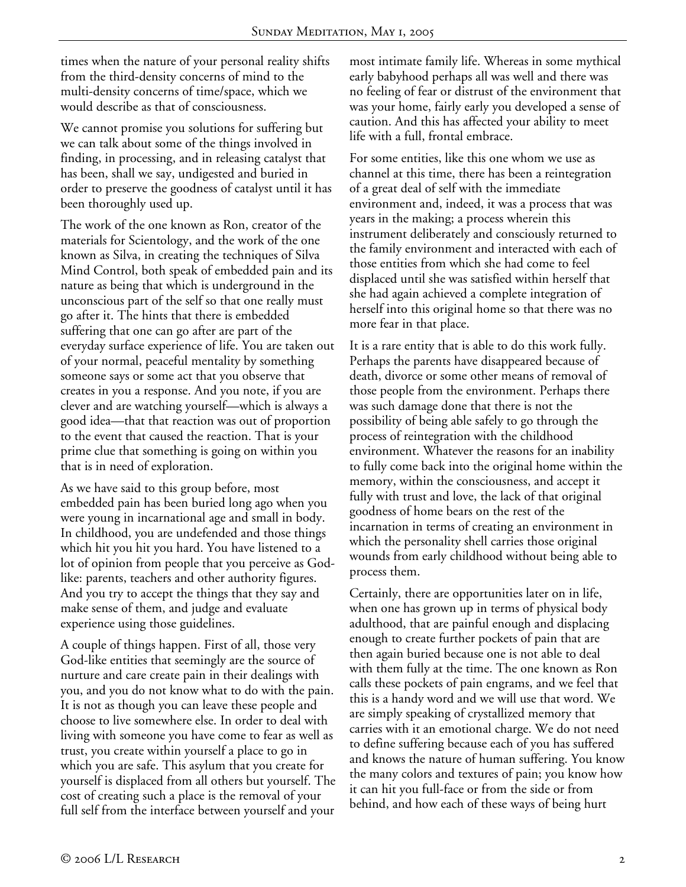times when the nature of your personal reality shifts from the third-density concerns of mind to the multi-density concerns of time/space, which we would describe as that of consciousness.

We cannot promise you solutions for suffering but we can talk about some of the things involved in finding, in processing, and in releasing catalyst that has been, shall we say, undigested and buried in order to preserve the goodness of catalyst until it has been thoroughly used up.

The work of the one known as Ron, creator of the materials for Scientology, and the work of the one known as Silva, in creating the techniques of Silva Mind Control, both speak of embedded pain and its nature as being that which is underground in the unconscious part of the self so that one really must go after it. The hints that there is embedded suffering that one can go after are part of the everyday surface experience of life. You are taken out of your normal, peaceful mentality by something someone says or some act that you observe that creates in you a response. And you note, if you are clever and are watching yourself—which is always a good idea—that that reaction was out of proportion to the event that caused the reaction. That is your prime clue that something is going on within you that is in need of exploration.

As we have said to this group before, most embedded pain has been buried long ago when you were young in incarnational age and small in body. In childhood, you are undefended and those things which hit you hit you hard. You have listened to a lot of opinion from people that you perceive as Godlike: parents, teachers and other authority figures. And you try to accept the things that they say and make sense of them, and judge and evaluate experience using those guidelines.

A couple of things happen. First of all, those very God-like entities that seemingly are the source of nurture and care create pain in their dealings with you, and you do not know what to do with the pain. It is not as though you can leave these people and choose to live somewhere else. In order to deal with living with someone you have come to fear as well as trust, you create within yourself a place to go in which you are safe. This asylum that you create for yourself is displaced from all others but yourself. The cost of creating such a place is the removal of your full self from the interface between yourself and your

most intimate family life. Whereas in some mythical early babyhood perhaps all was well and there was no feeling of fear or distrust of the environment that was your home, fairly early you developed a sense of caution. And this has affected your ability to meet life with a full, frontal embrace.

For some entities, like this one whom we use as channel at this time, there has been a reintegration of a great deal of self with the immediate environment and, indeed, it was a process that was years in the making; a process wherein this instrument deliberately and consciously returned to the family environment and interacted with each of those entities from which she had come to feel displaced until she was satisfied within herself that she had again achieved a complete integration of herself into this original home so that there was no more fear in that place.

It is a rare entity that is able to do this work fully. Perhaps the parents have disappeared because of death, divorce or some other means of removal of those people from the environment. Perhaps there was such damage done that there is not the possibility of being able safely to go through the process of reintegration with the childhood environment. Whatever the reasons for an inability to fully come back into the original home within the memory, within the consciousness, and accept it fully with trust and love, the lack of that original goodness of home bears on the rest of the incarnation in terms of creating an environment in which the personality shell carries those original wounds from early childhood without being able to process them.

Certainly, there are opportunities later on in life, when one has grown up in terms of physical body adulthood, that are painful enough and displacing enough to create further pockets of pain that are then again buried because one is not able to deal with them fully at the time. The one known as Ron calls these pockets of pain engrams, and we feel that this is a handy word and we will use that word. We are simply speaking of crystallized memory that carries with it an emotional charge. We do not need to define suffering because each of you has suffered and knows the nature of human suffering. You know the many colors and textures of pain; you know how it can hit you full-face or from the side or from behind, and how each of these ways of being hurt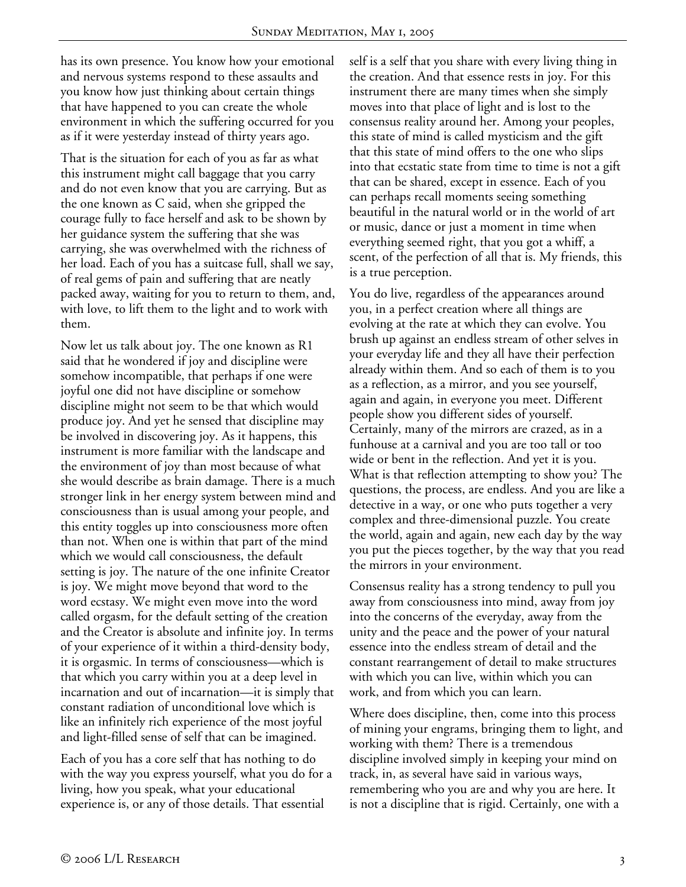has its own presence. You know how your emotional and nervous systems respond to these assaults and you know how just thinking about certain things that have happened to you can create the whole environment in which the suffering occurred for you as if it were yesterday instead of thirty years ago.

That is the situation for each of you as far as what this instrument might call baggage that you carry and do not even know that you are carrying. But as the one known as C said, when she gripped the courage fully to face herself and ask to be shown by her guidance system the suffering that she was carrying, she was overwhelmed with the richness of her load. Each of you has a suitcase full, shall we say, of real gems of pain and suffering that are neatly packed away, waiting for you to return to them, and, with love, to lift them to the light and to work with them.

Now let us talk about joy. The one known as R1 said that he wondered if joy and discipline were somehow incompatible, that perhaps if one were joyful one did not have discipline or somehow discipline might not seem to be that which would produce joy. And yet he sensed that discipline may be involved in discovering joy. As it happens, this instrument is more familiar with the landscape and the environment of joy than most because of what she would describe as brain damage. There is a much stronger link in her energy system between mind and consciousness than is usual among your people, and this entity toggles up into consciousness more often than not. When one is within that part of the mind which we would call consciousness, the default setting is joy. The nature of the one infinite Creator is joy. We might move beyond that word to the word ecstasy. We might even move into the word called orgasm, for the default setting of the creation and the Creator is absolute and infinite joy. In terms of your experience of it within a third-density body, it is orgasmic. In terms of consciousness—which is that which you carry within you at a deep level in incarnation and out of incarnation—it is simply that constant radiation of unconditional love which is like an infinitely rich experience of the most joyful and light-filled sense of self that can be imagined.

Each of you has a core self that has nothing to do with the way you express yourself, what you do for a living, how you speak, what your educational experience is, or any of those details. That essential

self is a self that you share with every living thing in the creation. And that essence rests in joy. For this instrument there are many times when she simply moves into that place of light and is lost to the consensus reality around her. Among your peoples, this state of mind is called mysticism and the gift that this state of mind offers to the one who slips into that ecstatic state from time to time is not a gift that can be shared, except in essence. Each of you can perhaps recall moments seeing something beautiful in the natural world or in the world of art or music, dance or just a moment in time when everything seemed right, that you got a whiff, a scent, of the perfection of all that is. My friends, this is a true perception.

You do live, regardless of the appearances around you, in a perfect creation where all things are evolving at the rate at which they can evolve. You brush up against an endless stream of other selves in your everyday life and they all have their perfection already within them. And so each of them is to you as a reflection, as a mirror, and you see yourself, again and again, in everyone you meet. Different people show you different sides of yourself. Certainly, many of the mirrors are crazed, as in a funhouse at a carnival and you are too tall or too wide or bent in the reflection. And yet it is you. What is that reflection attempting to show you? The questions, the process, are endless. And you are like a detective in a way, or one who puts together a very complex and three-dimensional puzzle. You create the world, again and again, new each day by the way you put the pieces together, by the way that you read the mirrors in your environment.

Consensus reality has a strong tendency to pull you away from consciousness into mind, away from joy into the concerns of the everyday, away from the unity and the peace and the power of your natural essence into the endless stream of detail and the constant rearrangement of detail to make structures with which you can live, within which you can work, and from which you can learn.

Where does discipline, then, come into this process of mining your engrams, bringing them to light, and working with them? There is a tremendous discipline involved simply in keeping your mind on track, in, as several have said in various ways, remembering who you are and why you are here. It is not a discipline that is rigid. Certainly, one with a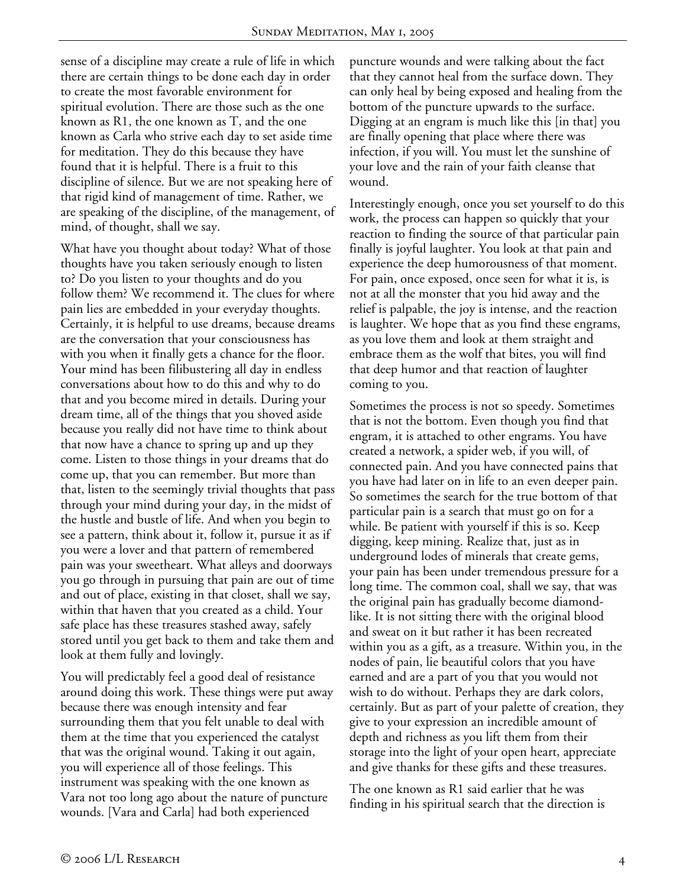sense of a discipline may create a rule of life in which there are certain things to be done each day in order to create the most favorable environment for spiritual evolution. There are those such as the one known as R1, the one known as T, and the one known as Carla who strive each day to set aside time for meditation. They do this because they have found that it is helpful. There is a fruit to this discipline of silence. But we are not speaking here of that rigid kind of management of time. Rather, we are speaking of the discipline, of the management, of mind, of thought, shall we say.

What have you thought about today? What of those thoughts have you taken seriously enough to listen to? Do you listen to your thoughts and do you follow them? We recommend it. The clues for where pain lies are embedded in your everyday thoughts. Certainly, it is helpful to use dreams, because dreams are the conversation that your consciousness has with you when it finally gets a chance for the floor. Your mind has been filibustering all day in endless conversations about how to do this and why to do that and you become mired in details. During your dream time, all of the things that you shoved aside because you really did not have time to think about that now have a chance to spring up and up they come. Listen to those things in your dreams that do come up, that you can remember. But more than that, listen to the seemingly trivial thoughts that pass through your mind during your day, in the midst of the hustle and bustle of life. And when you begin to see a pattern, think about it, follow it, pursue it as if you were a lover and that pattern of remembered pain was your sweetheart. What alleys and doorways you go through in pursuing that pain are out of time and out of place, existing in that closet, shall we say, within that haven that you created as a child. Your safe place has these treasures stashed away, safely stored until you get back to them and take them and look at them fully and lovingly.

You will predictably feel a good deal of resistance around doing this work. These things were put away because there was enough intensity and fear surrounding them that you felt unable to deal with them at the time that you experienced the catalyst that was the original wound. Taking it out again, you will experience all of those feelings. This instrument was speaking with the one known as Vara not too long ago about the nature of puncture wounds. [Vara and Carla] had both experienced

puncture wounds and were talking about the fact that they cannot heal from the surface down. They can only heal by being exposed and healing from the bottom of the puncture upwards to the surface. Digging at an engram is much like this [in that] you are finally opening that place where there was infection, if you will. You must let the sunshine of your love and the rain of your faith cleanse that wound.

Interestingly enough, once you set yourself to do this work, the process can happen so quickly that your reaction to finding the source of that particular pain finally is joyful laughter. You look at that pain and experience the deep humorousness of that moment. For pain, once exposed, once seen for what it is, is not at all the monster that you hid away and the relief is palpable, the joy is intense, and the reaction is laughter. We hope that as you find these engrams, as you love them and look at them straight and embrace them as the wolf that bites, you will find that deep humor and that reaction of laughter coming to you.

Sometimes the process is not so speedy. Sometimes that is not the bottom. Even though you find that engram, it is attached to other engrams. You have created a network, a spider web, if you will, of connected pain. And you have connected pains that you have had later on in life to an even deeper pain. So sometimes the search for the true bottom of that particular pain is a search that must go on for a while. Be patient with yourself if this is so. Keep digging, keep mining. Realize that, just as in underground lodes of minerals that create gems, your pain has been under tremendous pressure for a long time. The common coal, shall we say, that was the original pain has gradually become diamondlike. It is not sitting there with the original blood and sweat on it but rather it has been recreated within you as a gift, as a treasure. Within you, in the nodes of pain, lie beautiful colors that you have earned and are a part of you that you would not wish to do without. Perhaps they are dark colors, certainly. But as part of your palette of creation, they give to your expression an incredible amount of depth and richness as you lift them from their storage into the light of your open heart, appreciate and give thanks for these gifts and these treasures.

The one known as R1 said earlier that he was finding in his spiritual search that the direction is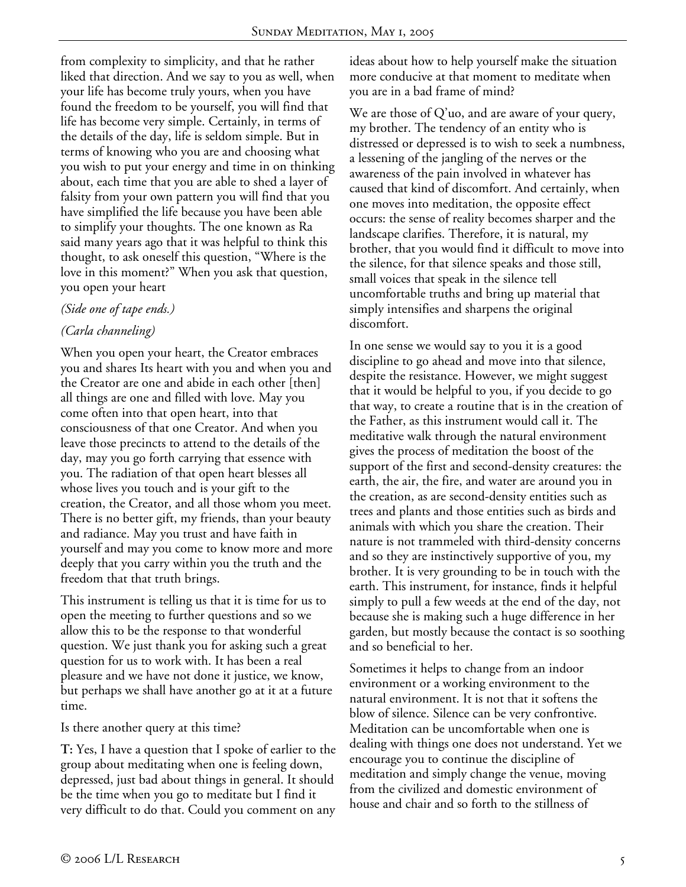from complexity to simplicity, and that he rather liked that direction. And we say to you as well, when your life has become truly yours, when you have found the freedom to be yourself, you will find that life has become very simple. Certainly, in terms of the details of the day, life is seldom simple. But in terms of knowing who you are and choosing what you wish to put your energy and time in on thinking about, each time that you are able to shed a layer of falsity from your own pattern you will find that you have simplified the life because you have been able to simplify your thoughts. The one known as Ra said many years ago that it was helpful to think this thought, to ask oneself this question, "Where is the love in this moment?" When you ask that question, you open your heart

### *(Side one of tape ends.)*

## *(Carla channeling)*

When you open your heart, the Creator embraces you and shares Its heart with you and when you and the Creator are one and abide in each other [then] all things are one and filled with love. May you come often into that open heart, into that consciousness of that one Creator. And when you leave those precincts to attend to the details of the day, may you go forth carrying that essence with you. The radiation of that open heart blesses all whose lives you touch and is your gift to the creation, the Creator, and all those whom you meet. There is no better gift, my friends, than your beauty and radiance. May you trust and have faith in yourself and may you come to know more and more deeply that you carry within you the truth and the freedom that that truth brings.

This instrument is telling us that it is time for us to open the meeting to further questions and so we allow this to be the response to that wonderful question. We just thank you for asking such a great question for us to work with. It has been a real pleasure and we have not done it justice, we know, but perhaps we shall have another go at it at a future time.

Is there another query at this time?

**T:** Yes, I have a question that I spoke of earlier to the group about meditating when one is feeling down, depressed, just bad about things in general. It should be the time when you go to meditate but I find it very difficult to do that. Could you comment on any

ideas about how to help yourself make the situation more conducive at that moment to meditate when you are in a bad frame of mind?

We are those of  $Q'$ uo, and are aware of your query, my brother. The tendency of an entity who is distressed or depressed is to wish to seek a numbness, a lessening of the jangling of the nerves or the awareness of the pain involved in whatever has caused that kind of discomfort. And certainly, when one moves into meditation, the opposite effect occurs: the sense of reality becomes sharper and the landscape clarifies. Therefore, it is natural, my brother, that you would find it difficult to move into the silence, for that silence speaks and those still, small voices that speak in the silence tell uncomfortable truths and bring up material that simply intensifies and sharpens the original discomfort.

In one sense we would say to you it is a good discipline to go ahead and move into that silence, despite the resistance. However, we might suggest that it would be helpful to you, if you decide to go that way, to create a routine that is in the creation of the Father, as this instrument would call it. The meditative walk through the natural environment gives the process of meditation the boost of the support of the first and second-density creatures: the earth, the air, the fire, and water are around you in the creation, as are second-density entities such as trees and plants and those entities such as birds and animals with which you share the creation. Their nature is not trammeled with third-density concerns and so they are instinctively supportive of you, my brother. It is very grounding to be in touch with the earth. This instrument, for instance, finds it helpful simply to pull a few weeds at the end of the day, not because she is making such a huge difference in her garden, but mostly because the contact is so soothing and so beneficial to her.

Sometimes it helps to change from an indoor environment or a working environment to the natural environment. It is not that it softens the blow of silence. Silence can be very confrontive. Meditation can be uncomfortable when one is dealing with things one does not understand. Yet we encourage you to continue the discipline of meditation and simply change the venue, moving from the civilized and domestic environment of house and chair and so forth to the stillness of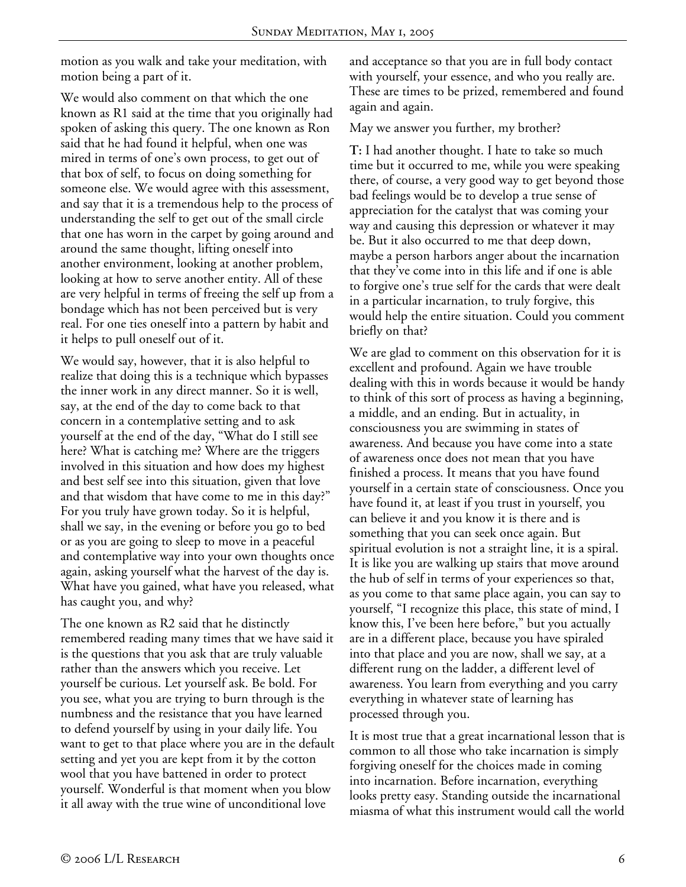motion as you walk and take your meditation, with motion being a part of it.

We would also comment on that which the one known as R1 said at the time that you originally had spoken of asking this query. The one known as Ron said that he had found it helpful, when one was mired in terms of one's own process, to get out of that box of self, to focus on doing something for someone else. We would agree with this assessment, and say that it is a tremendous help to the process of understanding the self to get out of the small circle that one has worn in the carpet by going around and around the same thought, lifting oneself into another environment, looking at another problem, looking at how to serve another entity. All of these are very helpful in terms of freeing the self up from a bondage which has not been perceived but is very real. For one ties oneself into a pattern by habit and it helps to pull oneself out of it.

We would say, however, that it is also helpful to realize that doing this is a technique which bypasses the inner work in any direct manner. So it is well, say, at the end of the day to come back to that concern in a contemplative setting and to ask yourself at the end of the day, "What do I still see here? What is catching me? Where are the triggers involved in this situation and how does my highest and best self see into this situation, given that love and that wisdom that have come to me in this day?" For you truly have grown today. So it is helpful, shall we say, in the evening or before you go to bed or as you are going to sleep to move in a peaceful and contemplative way into your own thoughts once again, asking yourself what the harvest of the day is. What have you gained, what have you released, what has caught you, and why?

The one known as R2 said that he distinctly remembered reading many times that we have said it is the questions that you ask that are truly valuable rather than the answers which you receive. Let yourself be curious. Let yourself ask. Be bold. For you see, what you are trying to burn through is the numbness and the resistance that you have learned to defend yourself by using in your daily life. You want to get to that place where you are in the default setting and yet you are kept from it by the cotton wool that you have battened in order to protect yourself. Wonderful is that moment when you blow it all away with the true wine of unconditional love

and acceptance so that you are in full body contact with yourself, your essence, and who you really are. These are times to be prized, remembered and found again and again.

May we answer you further, my brother?

**T:** I had another thought. I hate to take so much time but it occurred to me, while you were speaking there, of course, a very good way to get beyond those bad feelings would be to develop a true sense of appreciation for the catalyst that was coming your way and causing this depression or whatever it may be. But it also occurred to me that deep down, maybe a person harbors anger about the incarnation that they've come into in this life and if one is able to forgive one's true self for the cards that were dealt in a particular incarnation, to truly forgive, this would help the entire situation. Could you comment briefly on that?

We are glad to comment on this observation for it is excellent and profound. Again we have trouble dealing with this in words because it would be handy to think of this sort of process as having a beginning, a middle, and an ending. But in actuality, in consciousness you are swimming in states of awareness. And because you have come into a state of awareness once does not mean that you have finished a process. It means that you have found yourself in a certain state of consciousness. Once you have found it, at least if you trust in yourself, you can believe it and you know it is there and is something that you can seek once again. But spiritual evolution is not a straight line, it is a spiral. It is like you are walking up stairs that move around the hub of self in terms of your experiences so that, as you come to that same place again, you can say to yourself, "I recognize this place, this state of mind, I know this, I've been here before," but you actually are in a different place, because you have spiraled into that place and you are now, shall we say, at a different rung on the ladder, a different level of awareness. You learn from everything and you carry everything in whatever state of learning has processed through you.

It is most true that a great incarnational lesson that is common to all those who take incarnation is simply forgiving oneself for the choices made in coming into incarnation. Before incarnation, everything looks pretty easy. Standing outside the incarnational miasma of what this instrument would call the world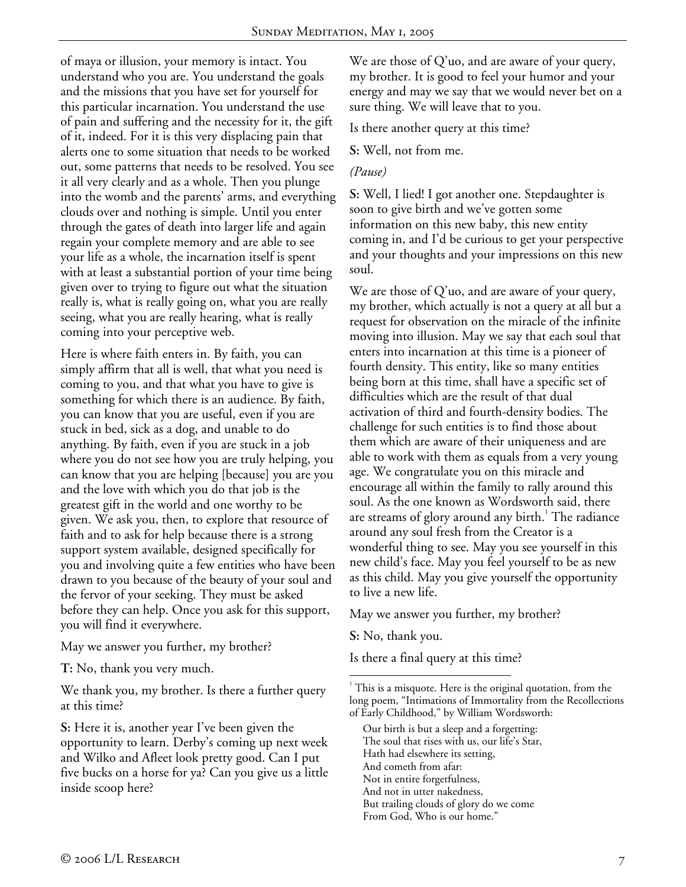of maya or illusion, your memory is intact. You understand who you are. You understand the goals and the missions that you have set for yourself for this particular incarnation. You understand the use of pain and suffering and the necessity for it, the gift of it, indeed. For it is this very displacing pain that alerts one to some situation that needs to be worked out, some patterns that needs to be resolved. You see it all very clearly and as a whole. Then you plunge into the womb and the parents' arms, and everything clouds over and nothing is simple. Until you enter through the gates of death into larger life and again regain your complete memory and are able to see your life as a whole, the incarnation itself is spent with at least a substantial portion of your time being given over to trying to figure out what the situation really is, what is really going on, what you are really seeing, what you are really hearing, what is really coming into your perceptive web.

Here is where faith enters in. By faith, you can simply affirm that all is well, that what you need is coming to you, and that what you have to give is something for which there is an audience. By faith, you can know that you are useful, even if you are stuck in bed, sick as a dog, and unable to do anything. By faith, even if you are stuck in a job where you do not see how you are truly helping, you can know that you are helping [because] you are you and the love with which you do that job is the greatest gift in the world and one worthy to be given. We ask you, then, to explore that resource of faith and to ask for help because there is a strong support system available, designed specifically for you and involving quite a few entities who have been drawn to you because of the beauty of your soul and the fervor of your seeking. They must be asked before they can help. Once you ask for this support, you will find it everywhere.

May we answer you further, my brother?

**T:** No, thank you very much.

We thank you, my brother. Is there a further query at this time?

**S:** Here it is, another year I've been given the opportunity to learn. Derby's coming up next week and Wilko and Afleet look pretty good. Can I put five bucks on a horse for ya? Can you give us a little inside scoop here?

We are those of Q'uo, and are aware of your query, my brother. It is good to feel your humor and your energy and may we say that we would never bet on a sure thing. We will leave that to you.

Is there another query at this time?

**S:** Well, not from me.

#### *(Pause)*

**S:** Well, I lied! I got another one. Stepdaughter is soon to give birth and we've gotten some information on this new baby, this new entity coming in, and I'd be curious to get your perspective and your thoughts and your impressions on this new soul.

We are those of  $Q'$ uo, and are aware of your query, my brother, which actually is not a query at all but a request for observation on the miracle of the infinite moving into illusion. May we say that each soul that enters into incarnation at this time is a pioneer of fourth density. This entity, like so many entities being born at this time, shall have a specific set of difficulties which are the result of that dual activation of third and fourth-density bodies. The challenge for such entities is to find those about them which are aware of their uniqueness and are able to work with them as equals from a very young age. We congratulate you on this miracle and encourage all within the family to rally around this soul. As the one known as Wordsworth said, there are streams of glory around any birth. $^{\rm 1}$  The radiance around any soul fresh from the Creator is a wonderful thing to see. May you see yourself in this new child's face. May you feel yourself to be as new as this child. May you give yourself the opportunity to live a new life.

May we answer you further, my brother?

**S:** No, thank you.

Is there a final query at this time?

 $\overline{a}$ <sup>1</sup> This is a misquote. Here is the original quotation, from the long poem, "Intimations of Immortality from the Recollections of Early Childhood," by William Wordsworth:

Our birth is but a sleep and a forgetting: The soul that rises with us, our life's Star, Hath had elsewhere its setting, And cometh from afar: Not in entire forgetfulness, And not in utter nakedness, But trailing clouds of glory do we come

From God, Who is our home."